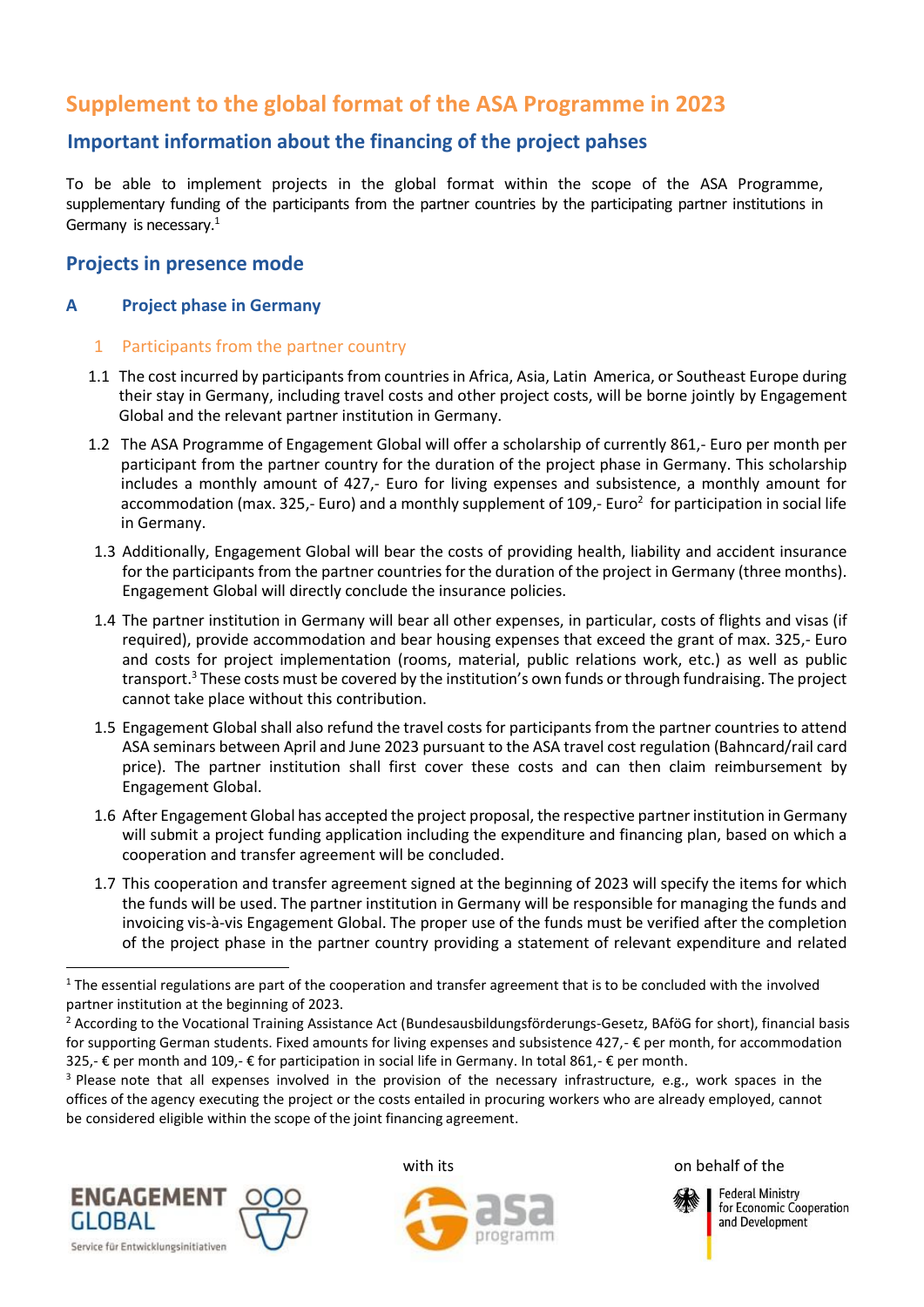# **Supplement to the global format of the ASA Programme in 2023**

## **Important information about the financing of the project pahses**

To be able to implement projects in the global format within the scope of the ASA Programme, supplementary funding of the participants from the partner countries by the participating partner institutions in Germany is necessary.<sup>1</sup>

## **Projects in presence mode**

## **A Project phase in Germany**

## 1 Participants from the partner country

- 1.1 The cost incurred by participants from countries in Africa, Asia, Latin America, or Southeast Europe during their stay in Germany, including travel costs and other project costs, will be borne jointly by Engagement Global and the relevant partner institution in Germany.
- 1.2 The ASA Programme of Engagement Global will offer a scholarship of currently 861,- Euro per month per participant from the partner country for the duration of the project phase in Germany. This scholarship includes a monthly amount of 427,- Euro for living expenses and subsistence, a monthly amount for accommodation (max. 325,- Euro) and a monthly supplement of 109,- Euro<sup>2</sup> for participation in social life in Germany.
- 1.3 Additionally, Engagement Global will bear the costs of providing health, liability and accident insurance for the participants from the partner countries for the duration of the project in Germany (three months). Engagement Global will directly conclude the insurance policies.
- 1.4 The partner institution in Germany will bear all other expenses, in particular, costs of flights and visas (if required), provide accommodation and bear housing expenses that exceed the grant of max. 325,- Euro and costs for project implementation (rooms, material, public relations work, etc.) as well as public transport. <sup>3</sup> These costs must be covered by the institution's own funds or through fundraising. The project cannot take place without this contribution.
- 1.5 Engagement Global shall also refund the travel costs for participants from the partner countries to attend ASA seminars between April and June 2023 pursuant to the ASA travel cost regulation (Bahncard/rail card price). The partner institution shall first cover these costs and can then claim reimbursement by Engagement Global.
- 1.6 After Engagement Global has accepted the project proposal, the respective partner institution in Germany will submit a project funding application including the expenditure and financing plan, based on which a cooperation and transfer agreement will be concluded.
- 1.7 This cooperation and transfer agreement signed at the beginning of 2023 will specify the items for which the funds will be used. The partner institution in Germany will be responsible for managing the funds and invoicing vis-à-vis Engagement Global. The proper use of the funds must be verified after the completion of the project phase in the partner country providing a statement of relevant expenditure and related

<sup>&</sup>lt;sup>3</sup> Please note that all expenses involved in the provision of the necessary infrastructure, e.g., work spaces in the offices of the agency executing the project or the costs entailed in procuring workers who are already employed, cannot be considered eligible within the scope of the joint financing agreement.



1





with its and the south on behalf of the



**Federal Ministry** for Economic Cooperation and Development

 $1$  The essential regulations are part of the cooperation and transfer agreement that is to be concluded with the involved partner institution at the beginning of 2023.

<sup>&</sup>lt;sup>2</sup> According to the Vocational Training Assistance Act (Bundesausbildungsförderungs-Gesetz, BAföG for short), financial basis for supporting German students. Fixed amounts for living expenses and subsistence 427,- € per month, for accommodation 325,- € per month and 109,- € for participation in social life in Germany. In total 861,- € per month.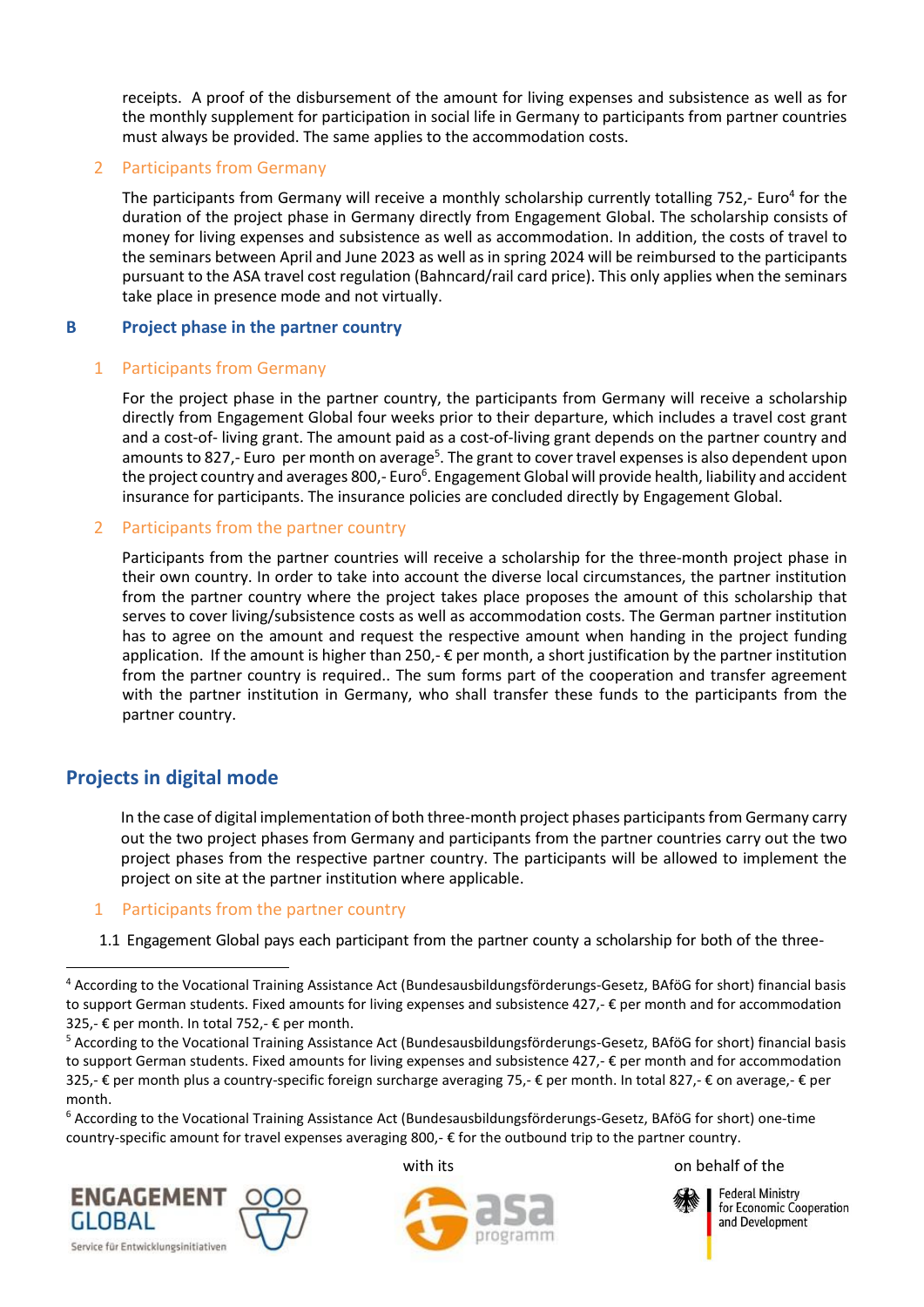receipts. A proof of the disbursement of the amount for living expenses and subsistence as well as for the monthly supplement for participation in social life in Germany to participants from partner countries must always be provided. The same applies to the accommodation costs.

## 2 Participants from Germany

The participants from Germany will receive a monthly scholarship currently totalling 752,- Euro<sup>4</sup> for the duration of the project phase in Germany directly from Engagement Global. The scholarship consists of money for living expenses and subsistence as well as accommodation. In addition, the costs of travel to the seminars between April and June 2023 as well as in spring 2024 will be reimbursed to the participants pursuant to the ASA travel cost regulation (Bahncard/rail card price). This only applies when the seminars take place in presence mode and not virtually.

#### **B Project phase in the partner country**

## 1 Participants from Germany

For the project phase in the partner country, the participants from Germany will receive a scholarship directly from Engagement Global four weeks prior to their departure, which includes a travel cost grant and a cost-of- living grant. The amount paid as a cost-of-living grant depends on the partner country and amounts to 827,- Euro per month on average<sup>5</sup>. The grant to cover travel expenses is also dependent upon the project country and averages 800,- Euro<sup>6</sup>. Engagement Global will provide health, liability and accident insurance for participants. The insurance policies are concluded directly by Engagement Global.

#### 2 Participants from the partner country

Participants from the partner countries will receive a scholarship for the three-month project phase in their own country. In order to take into account the diverse local circumstances, the partner institution from the partner country where the project takes place proposes the amount of this scholarship that serves to cover living/subsistence costs as well as accommodation costs. The German partner institution has to agree on the amount and request the respective amount when handing in the project funding application. If the amount is higher than 250,- $\epsilon$  per month, a short justification by the partner institution from the partner country is required.. The sum forms part of the cooperation and transfer agreement with the partner institution in Germany, who shall transfer these funds to the participants from the partner country.

## **Projects in digital mode**

1

In the case of digital implementation of both three-month project phases participants from Germany carry out the two project phases from Germany and participants from the partner countries carry out the two project phases from the respective partner country. The participants will be allowed to implement the project on site at the partner institution where applicable.

#### 1 Participants from the partner country

1.1 Engagement Global pays each participant from the partner county a scholarship for both of the three-

<sup>6</sup> According to the Vocational Training Assistance Act (Bundesausbildungsförderungs-Gesetz, BAföG for short) one-time country-specific amount for travel expenses averaging 800,- $\epsilon$  for the outbound trip to the partner country.







with its on behalf of the



**Federal Ministry** for Economic Cooperation and Development

<sup>4</sup> According to the Vocational Training Assistance Act (Bundesausbildungsförderungs-Gesetz, BAföG for short) financial basis to support German students. Fixed amounts for living expenses and subsistence 427,- € per month and for accommodation 325,- € per month. In total 752,- € per month.

<sup>5</sup> According to the Vocational Training Assistance Act (Bundesausbildungsförderungs-Gesetz, BAföG for short) financial basis to support German students. Fixed amounts for living expenses and subsistence 427,- € per month and for accommodation 325,- € per month plus a country-specific foreign surcharge averaging 75,- € per month. In total 827,- € on average,- € per month.